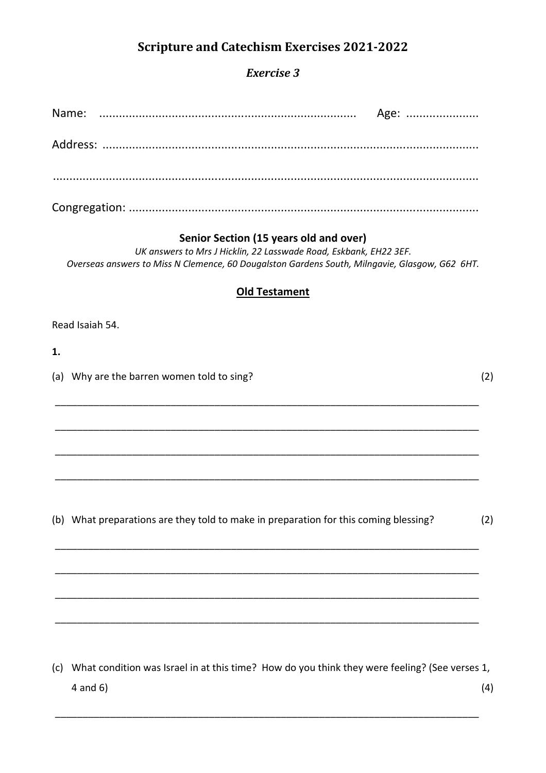# **Scripture and Catechism Exercises 2021-2022**

## **Exercise 3**

#### Senior Section (15 years old and over)

UK answers to Mrs J Hicklin, 22 Lasswade Road, Eskbank, EH22 3EF. Overseas answers to Miss N Clemence, 60 Dougalston Gardens South, Milngavie, Glasgow, G62 6HT.

#### **Old Testament**

Read Isaiah 54.

 $1.$ 

(a) Why are the barren women told to sing?

 $(2)$ 

(b) What preparations are they told to make in preparation for this coming blessing?  $(2)$ 

(c) What condition was Israel in at this time? How do you think they were feeling? (See verses 1,  $4$  and  $6)$  $(4)$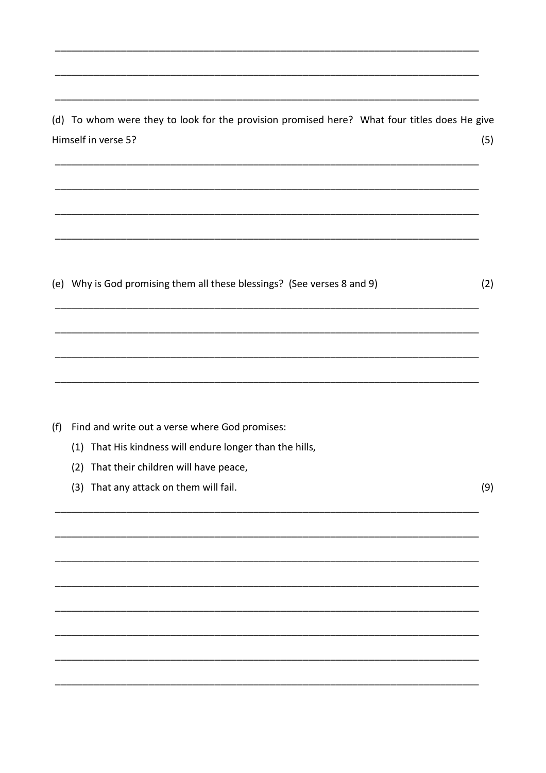(d) To whom were they to look for the provision promised here? What four titles does He give Himself in verse 5?  $(5)$ 

(e) Why is God promising them all these blessings? (See verses 8 and 9)

(f) Find and write out a verse where God promises:

(1) That His kindness will endure longer than the hills,

(2) That their children will have peace,

(3) That any attack on them will fail.

 $(9)$ 

 $(2)$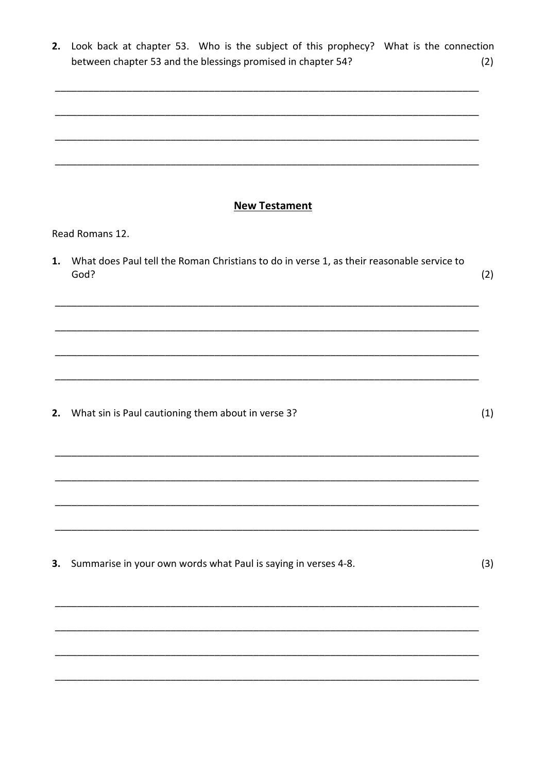| 2. | Look back at chapter 53. Who is the subject of this prophecy? What is the connection<br>between chapter 53 and the blessings promised in chapter 54? | (2) |
|----|------------------------------------------------------------------------------------------------------------------------------------------------------|-----|
|    |                                                                                                                                                      |     |
|    |                                                                                                                                                      |     |
|    |                                                                                                                                                      |     |
|    | <b>New Testament</b>                                                                                                                                 |     |
|    | Read Romans 12.                                                                                                                                      |     |
| 1. | What does Paul tell the Roman Christians to do in verse 1, as their reasonable service to<br>God?                                                    | (2) |
|    |                                                                                                                                                      |     |
|    |                                                                                                                                                      |     |
|    |                                                                                                                                                      |     |
|    | 2. What sin is Paul cautioning them about in verse 3?                                                                                                | (1) |
|    |                                                                                                                                                      |     |
|    |                                                                                                                                                      |     |
|    |                                                                                                                                                      |     |
|    |                                                                                                                                                      |     |
| 3. | Summarise in your own words what Paul is saying in verses 4-8.                                                                                       | (3) |
|    |                                                                                                                                                      |     |
|    |                                                                                                                                                      |     |
|    |                                                                                                                                                      |     |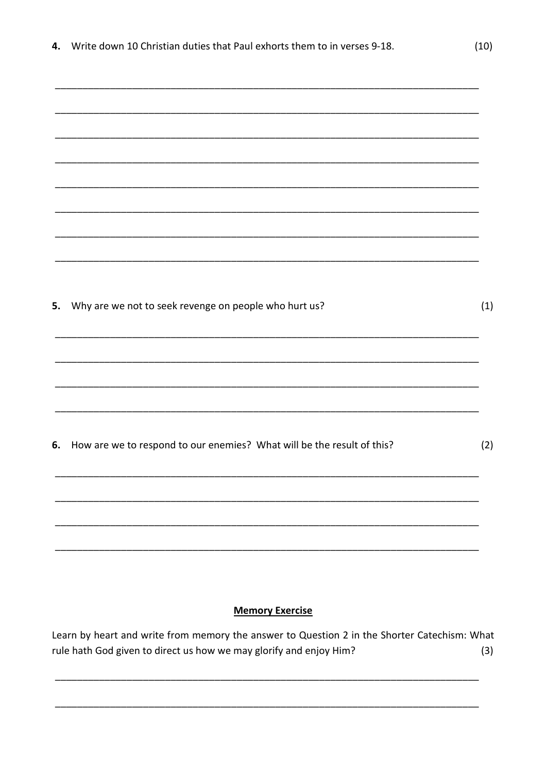|  |  |  |  |  | 4. Write down 10 Christian duties that Paul exhorts them to in verses 9-18. |
|--|--|--|--|--|-----------------------------------------------------------------------------|
|--|--|--|--|--|-----------------------------------------------------------------------------|

| 5. | Why are we not to seek revenge on people who hurt us?                  | (1) |
|----|------------------------------------------------------------------------|-----|
|    |                                                                        |     |
|    |                                                                        |     |
|    |                                                                        |     |
|    |                                                                        |     |
| 6. | How are we to respond to our enemies? What will be the result of this? | (2) |
|    |                                                                        |     |
|    |                                                                        |     |
|    |                                                                        |     |
|    |                                                                        |     |
|    |                                                                        |     |
|    |                                                                        |     |

### **Memory Exercise**

Learn by heart and write from memory the answer to Question 2 in the Shorter Catechism: What rule hath God given to direct us how we may glorify and enjoy Him?  $(3)$ 

 $(10)$